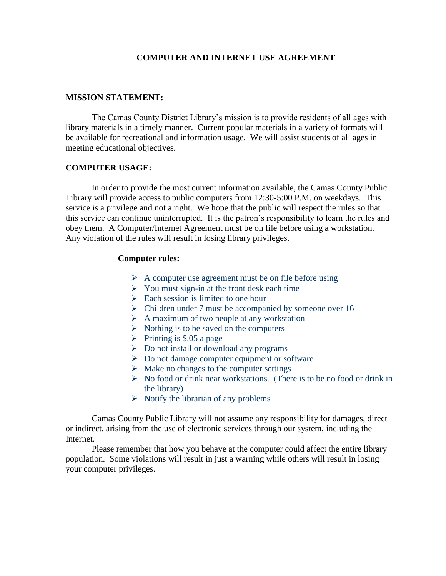## **COMPUTER AND INTERNET USE AGREEMENT**

## **MISSION STATEMENT:**

The Camas County District Library's mission is to provide residents of all ages with library materials in a timely manner. Current popular materials in a variety of formats will be available for recreational and information usage. We will assist students of all ages in meeting educational objectives.

# **COMPUTER USAGE:**

In order to provide the most current information available, the Camas County Public Library will provide access to public computers from 12:30-5:00 P.M. on weekdays. This service is a privilege and not a right. We hope that the public will respect the rules so that this service can continue uninterrupted. It is the patron's responsibility to learn the rules and obey them. A Computer/Internet Agreement must be on file before using a workstation. Any violation of the rules will result in losing library privileges.

#### **Computer rules:**

- $\triangleright$  A computer use agreement must be on file before using
- $\triangleright$  You must sign-in at the front desk each time
- $\triangleright$  Each session is limited to one hour
- $\triangleright$  Children under 7 must be accompanied by someone over 16
- $\triangleright$  A maximum of two people at any workstation
- $\triangleright$  Nothing is to be saved on the computers
- $\triangleright$  Printing is \$.05 a page
- $\triangleright$  Do not install or download any programs
- $\triangleright$  Do not damage computer equipment or software
- $\triangleright$  Make no changes to the computer settings
- $\triangleright$  No food or drink near workstations. (There is to be no food or drink in the library)
- $\triangleright$  Notify the librarian of any problems

Camas County Public Library will not assume any responsibility for damages, direct or indirect, arising from the use of electronic services through our system, including the Internet.

Please remember that how you behave at the computer could affect the entire library population. Some violations will result in just a warning while others will result in losing your computer privileges.